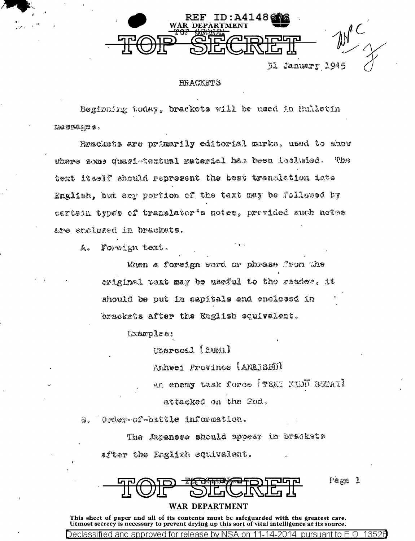

31 Jahuary J.

## **BRACKETS**

Beginning today, brackets will be used in Bulletin  $1000000000$ 

Rrackets are primarily editorial murks, used to show where some quasi-textual material has been included. **Thus** text itself should represent the best translation into English, but any portion of the text may be followed by esttein types of translator's notes, provided such notes are enclosed in brackets.

Foreign text.  $f_{4,0}$ 

> When a foreign word or phrase from the original text may be useful to the reader. it should be out in capitals and enclossd in brackets after the English equivalent.

> > Lxamples:

Charcos.1 [SUNI]

Anhwei Province (ANKISHÜ)

An enemy task force (TEKI KIDD BUPAI)

Page 1

attacked on the 2nd.

Crder-of-battle information. 3.

> The Japanese should appear in brackets after the English equivalent.

WAR DEPARTMENT

This sheet of paper and all of its contents must be safeguarded with the greatest care. Utmost secrecy is necessary to prevent drying up this sort of vital intelligence at its source.

Declassified and approved for rele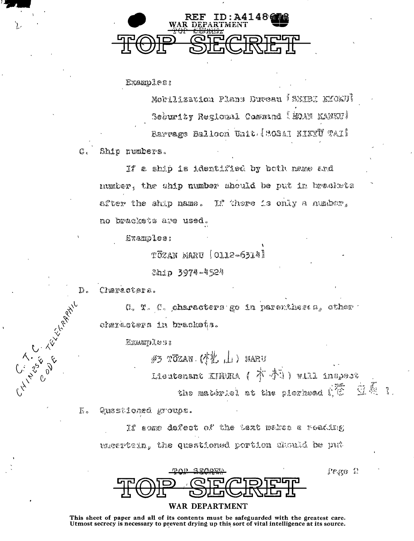

Examples:

Mobilization Plans Duveau (SMIBI MION)) Sedurity Regional Command (MOAN KANKU) Rarrage Balloch Unit (SOSAI KIKYU TAI)

 $C_c$ Ship rumbers.

> If a ship is identified by both name and number, the ship number should be put in brackets after the ship name. If there is only a musher. no brackets are used.

Examples:

TOZAN MARU [OLL2-6314]

Ship 3974-4524

Clusracters.

G. T. C. characters go in parentheses, other 1 diarastera in brackets.

Examples:

 $\#$   $\frac{1}{2}$   $\frac{1}{2}$   $\frac{1}{2}$   $\frac{1}{2}$   $\frac{1}{2}$   $\frac{1}{2}$   $\frac{1}{2}$   $\frac{1}{2}$   $\frac{1}{2}$   $\frac{1}{2}$   $\frac{1}{2}$   $\frac{1}{2}$   $\frac{1}{2}$   $\frac{1}{2}$   $\frac{1}{2}$   $\frac{1}{2}$   $\frac{1}{2}$   $\frac{1}{2}$   $\frac{1}{2}$   $\frac{1}{2}$   $\frac{1}{2}$   $\frac{1}{$ Lieutenant KIMMA ( 本 亦 ) will inspect **豆蟲 1** the materiel at the pierhead (12)

Pego P

 $\overline{E}$ Questioned groups.

> If agme defect of the text makes a reading uncertain, the questioned portion dhould be put

**GONDO** 

## WAR DEPARTMENT

This sheet of paper and all of its contents must be safeguarded with the greatest care. Utmost secrecy is necessary to prevent drying up this sort of vital intelligence at its source.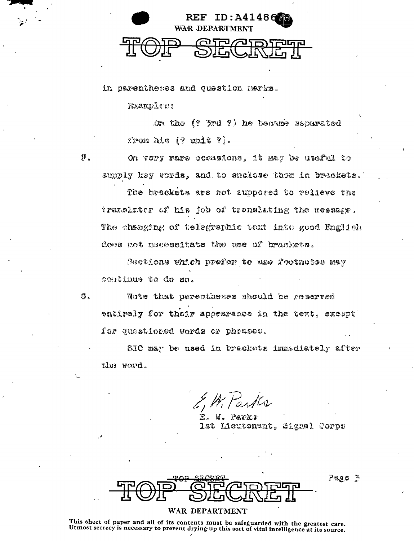

in parentheses and question marks.

Examples:

 $\mathfrak{P}$  .

(3。

On the  $(2 \text{ } 5rd \text{ } 7)$  he became separated  $2$ rom his  $(9 \text{ units } 9).$ 

On very rare occasions, it may be useful to supply key words, and to enclose them in brackets.

The brackets are not suppored to relieve the translater of his job of translating the measage. The changing of telegraphic text into good English does not necessitate the use of brackets.

Sections which prefer to use footnotes may continue to do so.

Note that parentheses should be reserved entirely for their appearance in the text, except for questioned words or phrases.

SIC may be used in brackets immediately after the word.

E. W. Parks lst Lieutenant, Signal Corps

Page 3

WAR DEPARTMENT

This sheet of paper and all of its contents must be safeguarded with the greatest care. Utmost secrecy is necessary to prevent drying up this sort of vital intelligence at its source.